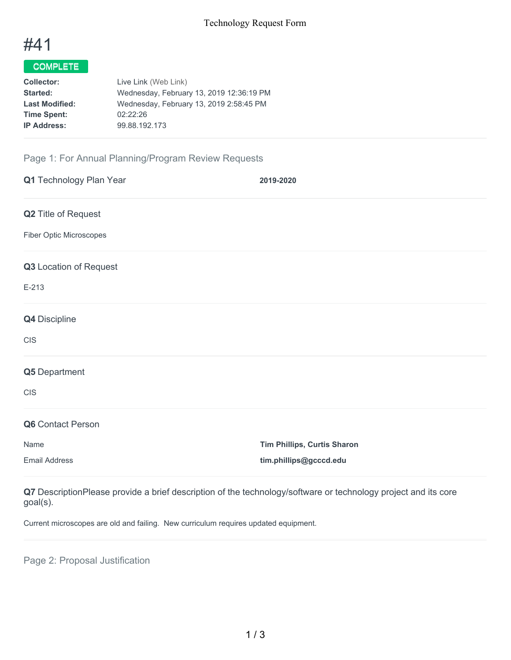

## COMPLETE

| <b>Collector:</b>     | Live Link (Web Link)                     |
|-----------------------|------------------------------------------|
| <b>Started:</b>       | Wednesday, February 13, 2019 12:36:19 PM |
| <b>Last Modified:</b> | Wednesday, February 13, 2019 2:58:45 PM  |
| <b>Time Spent:</b>    | 02:22:26                                 |
| <b>IP Address:</b>    | 99.88.192.173                            |
|                       |                                          |

## Page 1: For Annual Planning/Program Review Requests

| Q1 Technology Plan Year    | 2019-2020                          |
|----------------------------|------------------------------------|
| <b>Q2</b> Title of Request |                                    |
| Fiber Optic Microscopes    |                                    |
| Q3 Location of Request     |                                    |
| $E-213$                    |                                    |
| Q4 Discipline              |                                    |
| <b>CIS</b>                 |                                    |
| Q5 Department              |                                    |
| <b>CIS</b>                 |                                    |
| Q6 Contact Person          |                                    |
| Name                       | <b>Tim Phillips, Curtis Sharon</b> |
| <b>Email Address</b>       | tim.phillips@gcccd.edu             |

**Q7** DescriptionPlease provide a brief description of the technology/software or technology project and its core goal(s).

Current microscopes are old and failing. New curriculum requires updated equipment.

Page 2: Proposal Justification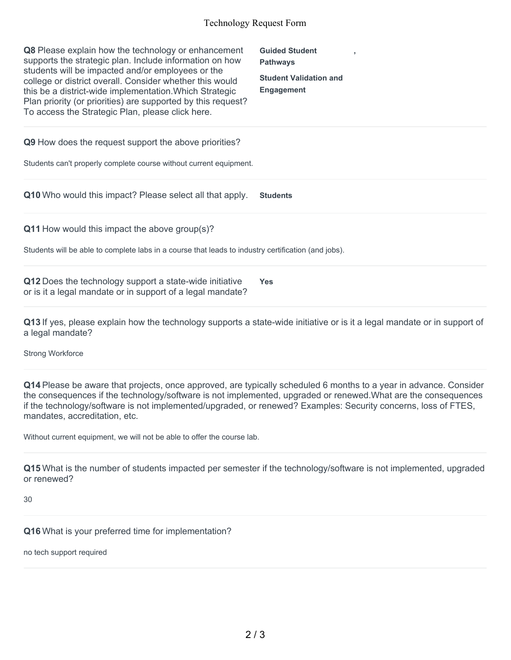## Technology Request Form

| <b>Q8</b> Please explain how the technology or enhancement<br>supports the strategic plan. Include information on how<br>students will be impacted and/or employees or the<br>college or district overall. Consider whether this would<br>this be a district-wide implementation. Which Strategic<br>Plan priority (or priorities) are supported by this request?<br>To access the Strategic Plan, please click here. | <b>Guided Student</b><br><b>Pathways</b><br><b>Student Validation and</b><br><b>Engagement</b> |
|-----------------------------------------------------------------------------------------------------------------------------------------------------------------------------------------------------------------------------------------------------------------------------------------------------------------------------------------------------------------------------------------------------------------------|------------------------------------------------------------------------------------------------|
| <b>Q9</b> How does the request support the above priorities?<br>Students can't properly complete course without current equipment.                                                                                                                                                                                                                                                                                    |                                                                                                |
| Q10 Who would this impact? Please select all that apply.                                                                                                                                                                                                                                                                                                                                                              | <b>Students</b>                                                                                |
| <b>Q11</b> How would this impact the above group(s)?<br>Students will be able to complete labs in a course that leads to industry certification (and jobs).                                                                                                                                                                                                                                                           |                                                                                                |

**Q12** Does the technology support a state-wide initiative or is it a legal mandate or in support of a legal mandate? **Yes**

**Q13** If yes, please explain how the technology supports a state-wide initiative or is it a legal mandate or in support of a legal mandate?

Strong Workforce

**Q14** Please be aware that projects, once approved, are typically scheduled 6 months to a year in advance. Consider the consequences if the technology/software is not implemented, upgraded or renewed.What are the consequences if the technology/software is not implemented/upgraded, or renewed? Examples: Security concerns, loss of FTES, mandates, accreditation, etc.

Without current equipment, we will not be able to offer the course lab.

**Q15** What is the number of students impacted per semester if the technology/software is not implemented, upgraded or renewed?

30

**Q16** What is your preferred time for implementation?

no tech support required